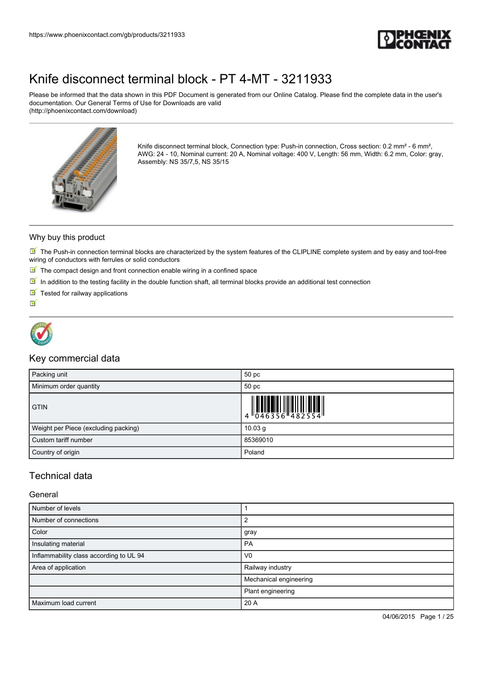

Please be informed that the data shown in this PDF Document is generated from our Online Catalog. Please find the complete data in the user's documentation. Our General Terms of Use for Downloads are valid (http://phoenixcontact.com/download)



Knife disconnect terminal block, Connection type: Push-in connection, Cross section: 0.2 mm<sup>2</sup> - 6 mm<sup>2</sup>, AWG: 24 - 10, Nominal current: 20 A, Nominal voltage: 400 V, Length: 56 mm, Width: 6.2 mm, Color: gray, Assembly: NS 35/7,5, NS 35/15

#### Why buy this product

 $\blacksquare$  The Push-in connection terminal blocks are characterized by the system features of the CLIPLINE complete system and by easy and tool-free wiring of conductors with ferrules or solid conductors

- $\blacksquare$  The compact design and front connection enable wiring in a confined space
- $\boxed{\blacksquare}$  In addition to the testing facility in the double function shaft, all terminal blocks provide an additional test connection
- $\blacksquare$  Tested for railway applications

 $\blacktriangledown$ 



### Key commercial data

| Packing unit                         | 50 pc              |
|--------------------------------------|--------------------|
| Minimum order quantity               | 50 pc              |
| <b>GTIN</b>                          |                    |
| Weight per Piece (excluding packing) | 10.03 <sub>q</sub> |
| Custom tariff number                 | 85369010           |
| Country of origin                    | Poland             |

### Technical data

#### General

| Number of levels                        |                        |
|-----------------------------------------|------------------------|
| Number of connections                   | $\overline{2}$         |
| Color                                   | gray                   |
| Insulating material                     | <b>PA</b>              |
| Inflammability class according to UL 94 | V <sub>0</sub>         |
| Area of application                     | Railway industry       |
|                                         | Mechanical engineering |
|                                         | Plant engineering      |
| Maximum load current                    | 20 A                   |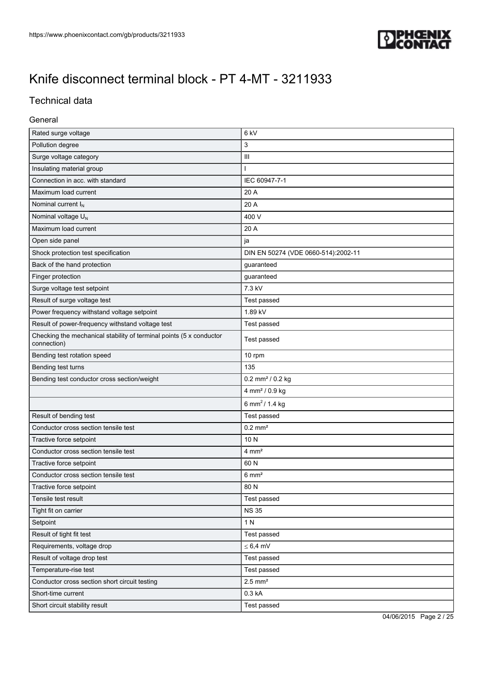

### Technical data

### General

| Rated surge voltage                                                                | 6 kV                                |  |
|------------------------------------------------------------------------------------|-------------------------------------|--|
| Pollution degree                                                                   | 3                                   |  |
| Surge voltage category                                                             | Ш                                   |  |
| Insulating material group                                                          | T                                   |  |
| Connection in acc. with standard                                                   | IEC 60947-7-1                       |  |
| Maximum load current                                                               | 20 A                                |  |
| Nominal current $I_N$                                                              | 20 A                                |  |
| Nominal voltage U <sub>N</sub>                                                     | 400 V                               |  |
| Maximum load current                                                               | 20 A                                |  |
| Open side panel                                                                    | ja                                  |  |
| Shock protection test specification                                                | DIN EN 50274 (VDE 0660-514):2002-11 |  |
| Back of the hand protection                                                        | guaranteed                          |  |
| Finger protection                                                                  | guaranteed                          |  |
| Surge voltage test setpoint                                                        | 7.3 kV                              |  |
| Result of surge voltage test                                                       | Test passed                         |  |
| Power frequency withstand voltage setpoint                                         | 1.89 kV                             |  |
| Result of power-frequency withstand voltage test                                   | Test passed                         |  |
| Checking the mechanical stability of terminal points (5 x conductor<br>connection) | Test passed                         |  |
| Bending test rotation speed                                                        | 10 rpm                              |  |
| Bending test turns                                                                 | 135                                 |  |
| Bending test conductor cross section/weight                                        | $0.2$ mm <sup>2</sup> / $0.2$ kg    |  |
|                                                                                    | 4 mm <sup>2</sup> / 0.9 kg          |  |
|                                                                                    | 6 mm <sup>2</sup> / 1.4 kg          |  |
| Result of bending test                                                             | Test passed                         |  |
| Conductor cross section tensile test                                               | $0.2$ mm <sup>2</sup>               |  |
| Tractive force setpoint                                                            | 10 N                                |  |
| Conductor cross section tensile test                                               | $4 \text{ mm}^2$                    |  |
| Tractive force setpoint                                                            | 60 N                                |  |
| Conductor cross section tensile test                                               | $6 \text{ mm}^2$                    |  |
| Tractive force setpoint                                                            | 80 N                                |  |
| Tensile test result                                                                | Test passed                         |  |
| Tight fit on carrier                                                               | <b>NS 35</b>                        |  |
| Setpoint                                                                           | 1 N                                 |  |
| Result of tight fit test                                                           | Test passed                         |  |
| Requirements, voltage drop                                                         | $\leq 6.4$ mV                       |  |
| Result of voltage drop test                                                        | Test passed                         |  |
| Temperature-rise test                                                              | Test passed                         |  |
| Conductor cross section short circuit testing                                      | $2.5$ mm <sup>2</sup>               |  |
| Short-time current                                                                 | 0.3 kA                              |  |
| Short circuit stability result                                                     | Test passed                         |  |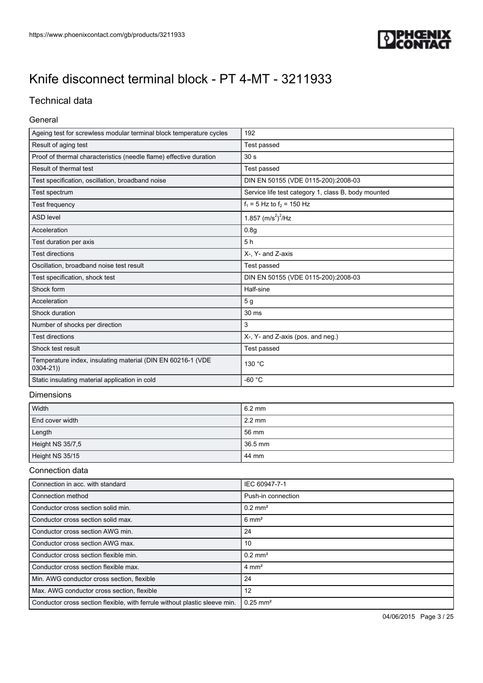

### Technical data

#### General

| Ageing test for screwless modular terminal block temperature cycles         | 192                                                 |
|-----------------------------------------------------------------------------|-----------------------------------------------------|
| Result of aging test                                                        | Test passed                                         |
| Proof of thermal characteristics (needle flame) effective duration          | 30 <sub>s</sub>                                     |
| Result of thermal test                                                      | Test passed                                         |
| Test specification, oscillation, broadband noise                            | DIN EN 50155 (VDE 0115-200):2008-03                 |
| Test spectrum                                                               | Service life test category 1, class B, body mounted |
| Test frequency                                                              | $f_1 = 5$ Hz to $f_2 = 150$ Hz                      |
| <b>ASD level</b>                                                            | 1.857 $(m/s^2)^2$ /Hz                               |
| Acceleration                                                                | 0.8 <sub>g</sub>                                    |
| Test duration per axis                                                      | 5h                                                  |
| <b>Test directions</b>                                                      | X-, Y- and Z-axis                                   |
| Oscillation, broadband noise test result                                    | Test passed                                         |
| Test specification, shock test                                              | DIN EN 50155 (VDE 0115-200):2008-03                 |
| Shock form                                                                  | Half-sine                                           |
| Acceleration                                                                | 5 <sub>g</sub>                                      |
| Shock duration                                                              | 30 ms                                               |
| Number of shocks per direction                                              | 3                                                   |
| <b>Test directions</b>                                                      | X-, Y- and Z-axis (pos. and neg.)                   |
| Shock test result                                                           | Test passed                                         |
| Temperature index, insulating material (DIN EN 60216-1 (VDE<br>$0304 - 21)$ | 130 °C                                              |
| Static insulating material application in cold                              | $-60 °C$                                            |
| <b>Distances</b> in the season                                              |                                                     |

#### **Dimensions**

| Width            | $6.2 \text{ mm}$ |
|------------------|------------------|
| End cover width  | $2.2 \text{ mm}$ |
| Length           | 56 mm            |
| Height NS 35/7,5 | 36.5 mm          |
| Height NS 35/15  | 44 mm            |

#### Connection data

| Connection in acc. with standard                                           | IEC 60947-7-1          |
|----------------------------------------------------------------------------|------------------------|
| Connection method                                                          | Push-in connection     |
| Conductor cross section solid min.                                         | $0.2$ mm <sup>2</sup>  |
| Conductor cross section solid max.                                         | $6 \text{ mm}^2$       |
| Conductor cross section AWG min.                                           | 24                     |
| Conductor cross section AWG max.                                           | 10                     |
| Conductor cross section flexible min.                                      | $0.2$ mm <sup>2</sup>  |
| Conductor cross section flexible max.                                      | $4 \text{ mm}^2$       |
| Min. AWG conductor cross section, flexible                                 | 24                     |
| Max. AWG conductor cross section, flexible                                 | 12                     |
| Conductor cross section flexible, with ferrule without plastic sleeve min. | $0.25$ mm <sup>2</sup> |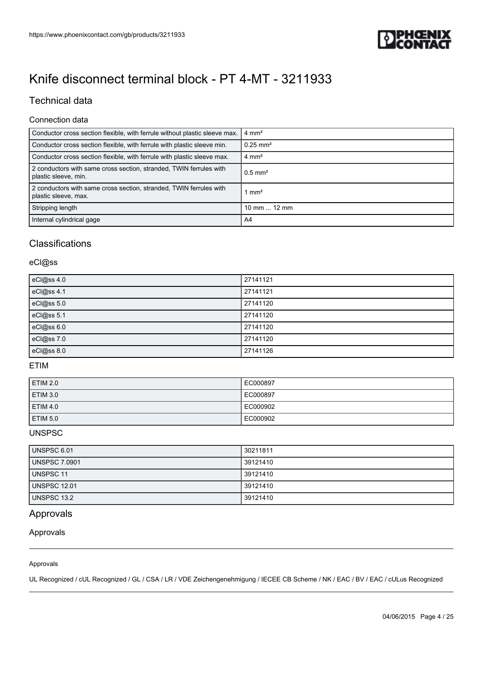

### Technical data

#### Connection data

| Conductor cross section flexible, with ferrule without plastic sleeve max.                 | $4 \text{ mm}^2$      |
|--------------------------------------------------------------------------------------------|-----------------------|
| Conductor cross section flexible, with ferrule with plastic sleeve min.                    | $0.25 \text{ mm}^2$   |
| Conductor cross section flexible, with ferrule with plastic sleeve max.                    | $4 \text{ mm}^2$      |
| 2 conductors with same cross section, stranded, TWIN ferrules with<br>plastic sleeve, min. | $0.5$ mm <sup>2</sup> |
| 2 conductors with same cross section, stranded, TWIN ferrules with<br>plastic sleeve, max. | 1 mm <sup>2</sup>     |
| Stripping length                                                                           | 10 mm $\dots$ 12 mm   |
| Internal cylindrical gage                                                                  | A4                    |

### **Classifications**

### eCl@ss

| eCl@ss 4.0 | 27141121 |
|------------|----------|
| eCl@ss 4.1 | 27141121 |
| eCl@ss 5.0 | 27141120 |
| eCl@ss 5.1 | 27141120 |
| eCl@ss 6.0 | 27141120 |
| eCl@ss 7.0 | 27141120 |
| eCl@ss 8.0 | 27141126 |

#### ETIM

| <b>ETIM 2.0</b> | EC000897 |
|-----------------|----------|
| <b>ETIM 3.0</b> | EC000897 |
| <b>ETIM 4.0</b> | EC000902 |
| <b>ETIM 5.0</b> | EC000902 |

### **UNSPSC**

| UNSPSC 6.01          | 30211811 |
|----------------------|----------|
| <b>UNSPSC 7.0901</b> | 39121410 |
| UNSPSC 11            | 39121410 |
| <b>UNSPSC 12.01</b>  | 39121410 |
| UNSPSC 13.2          | 39121410 |

### Approvals

#### Approvals

#### Approvals

UL Recognized / cUL Recognized / GL / CSA / LR / VDE Zeichengenehmigung / IECEE CB Scheme / NK / EAC / BV / EAC / cULus Recognized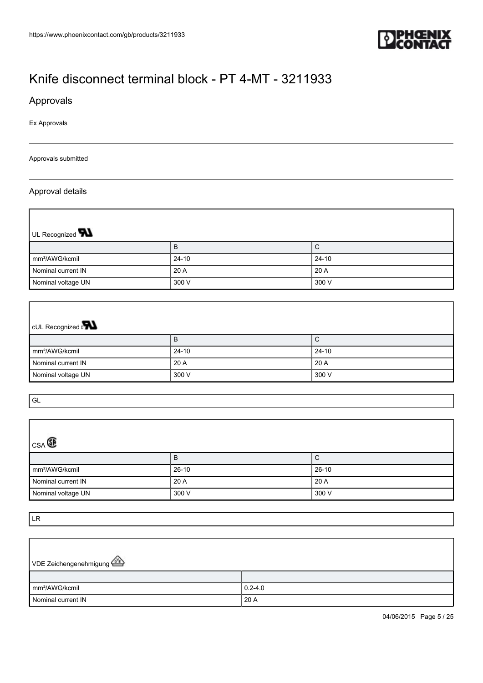

### Approvals

Ex Approvals

#### Approvals submitted

#### Approval details

 $\Gamma$ 

| UL Recognized <b>W</b>     |           |         |  |
|----------------------------|-----------|---------|--|
|                            | B         | ⌒<br>◡  |  |
| mm <sup>2</sup> /AWG/kcmil | $24 - 10$ | $24-10$ |  |
| Nominal current IN         | 20 A      | 20 A    |  |
| Nominal voltage UN         | 300 V     | 300 V   |  |

# CUL Recognized and

|                            | в         | ັ               |
|----------------------------|-----------|-----------------|
| mm <sup>2</sup> /AWG/kcmil | $24 - 10$ | $24 - 10$       |
| Nominal current IN         | 20A       | $^{\circ}$ 20 A |
| Nominal voltage UN         | 300 V     | 300 V           |

GL

 $\Gamma$ 

| $_{CSA}$                   |         |         |  |  |
|----------------------------|---------|---------|--|--|
|                            | B       | С       |  |  |
| mm <sup>2</sup> /AWG/kcmil | $26-10$ | $26-10$ |  |  |
| Nominal current IN         | 20A     | 20 A    |  |  |
| Nominal voltage UN         | 300 V   | 300 V   |  |  |

LR

r

| VDE Zeichengenehmigung      |             |
|-----------------------------|-------------|
|                             |             |
| $\mathsf{Imm}^2$ /AWG/kcmil | $0.2 - 4.0$ |
| Nominal current IN          | 20 A        |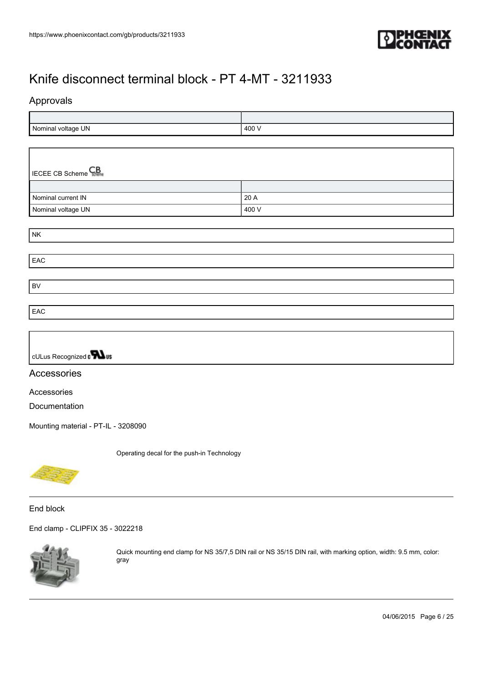

### Approvals

| UN<br>`Nominal<br>voltage<br>ັ | 400<br>7∪V |
|--------------------------------|------------|

| <b>ECEE CB Scheme</b> |       |
|-----------------------|-------|
|                       |       |
| Nominal current IN    | 20 A  |
| Nominal voltage UN    | 400 V |

| <b>NK</b> |  |
|-----------|--|
|           |  |
| EAC       |  |
|           |  |
| BV        |  |
|           |  |
| EAC       |  |



### Accessories

Accessories

Documentation

[Mounting material - PT-IL - 3208090](https://www.phoenixcontact.com/gb/products/3208090)

Operating decal for the push-in Technology

End block

[End clamp - CLIPFIX 35 - 3022218](https://www.phoenixcontact.com/gb/products/3022218)



Quick mounting end clamp for NS 35/7,5 DIN rail or NS 35/15 DIN rail, with marking option, width: 9.5 mm, color: gray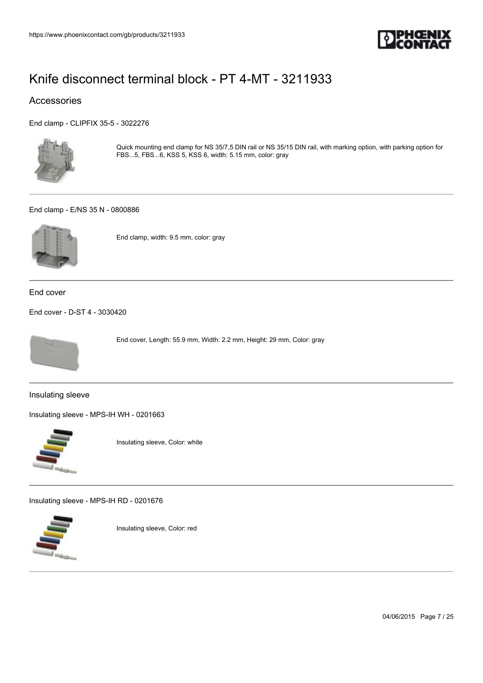

### Accessories

[End clamp - CLIPFIX 35-5 - 3022276](https://www.phoenixcontact.com/gb/products/3022276)



Quick mounting end clamp for NS 35/7,5 DIN rail or NS 35/15 DIN rail, with marking option, with parking option for FBS...5, FBS...6, KSS 5, KSS 6, width: 5.15 mm, color: gray

#### [End clamp - E/NS 35 N - 0800886](https://www.phoenixcontact.com/gb/products/0800886)



End clamp, width: 9.5 mm, color: gray

End cover

[End cover - D-ST 4 - 3030420](https://www.phoenixcontact.com/gb/products/3030420)



End cover, Length: 55.9 mm, Width: 2.2 mm, Height: 29 mm, Color: gray

Insulating sleeve

[Insulating sleeve - MPS-IH WH - 0201663](https://www.phoenixcontact.com/gb/products/0201663)



Insulating sleeve, Color: white

[Insulating sleeve - MPS-IH RD - 0201676](https://www.phoenixcontact.com/gb/products/0201676)



Insulating sleeve, Color: red

04/06/2015 Page 7 / 25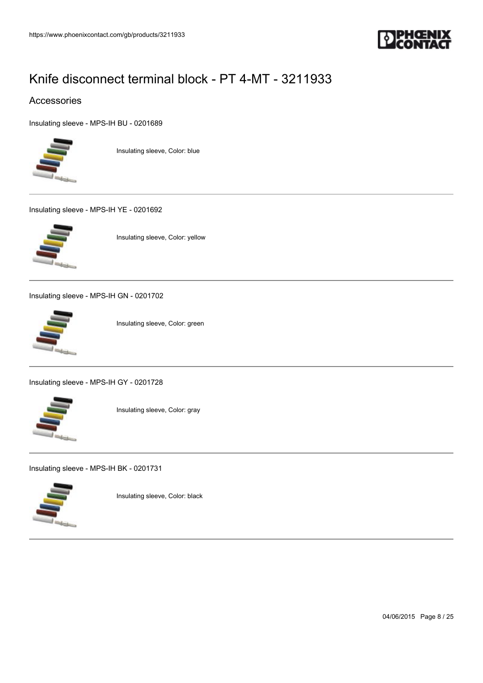

### Accessories

[Insulating sleeve - MPS-IH BU - 0201689](https://www.phoenixcontact.com/gb/products/0201689)



Insulating sleeve, Color: blue

[Insulating sleeve - MPS-IH YE - 0201692](https://www.phoenixcontact.com/gb/products/0201692)



Insulating sleeve, Color: yellow

[Insulating sleeve - MPS-IH GN - 0201702](https://www.phoenixcontact.com/gb/products/0201702)



Insulating sleeve, Color: green

[Insulating sleeve - MPS-IH GY - 0201728](https://www.phoenixcontact.com/gb/products/0201728)



Insulating sleeve, Color: gray

[Insulating sleeve - MPS-IH BK - 0201731](https://www.phoenixcontact.com/gb/products/0201731)



Insulating sleeve, Color: black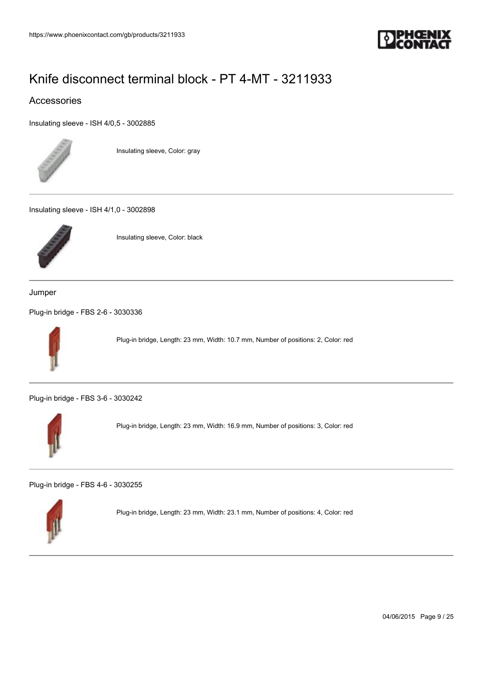

### Accessories

[Insulating sleeve - ISH 4/0,5 - 3002885](https://www.phoenixcontact.com/gb/products/3002885)



Insulating sleeve, Color: gray

[Insulating sleeve - ISH 4/1,0 - 3002898](https://www.phoenixcontact.com/gb/products/3002898)



Insulating sleeve, Color: black

Jumper

[Plug-in bridge - FBS 2-6 - 3030336](https://www.phoenixcontact.com/gb/products/3030336)



Plug-in bridge, Length: 23 mm, Width: 10.7 mm, Number of positions: 2, Color: red

[Plug-in bridge - FBS 3-6 - 3030242](https://www.phoenixcontact.com/gb/products/3030242)



Plug-in bridge, Length: 23 mm, Width: 16.9 mm, Number of positions: 3, Color: red

[Plug-in bridge - FBS 4-6 - 3030255](https://www.phoenixcontact.com/gb/products/3030255)



Plug-in bridge, Length: 23 mm, Width: 23.1 mm, Number of positions: 4, Color: red

04/06/2015 Page 9 / 25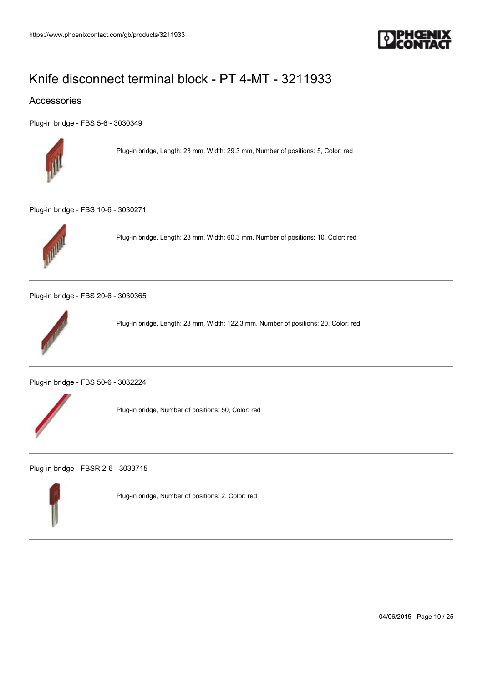

### Accessories

[Plug-in bridge - FBS 5-6 - 3030349](https://www.phoenixcontact.com/gb/products/3030349)



Plug-in bridge, Length: 23 mm, Width: 29.3 mm, Number of positions: 5, Color: red

[Plug-in bridge - FBS 10-6 - 3030271](https://www.phoenixcontact.com/gb/products/3030271)



Plug-in bridge, Length: 23 mm, Width: 60.3 mm, Number of positions: 10, Color: red

[Plug-in bridge - FBS 20-6 - 3030365](https://www.phoenixcontact.com/gb/products/3030365)



Plug-in bridge, Length: 23 mm, Width: 122.3 mm, Number of positions: 20, Color: red

[Plug-in bridge - FBS 50-6 - 3032224](https://www.phoenixcontact.com/gb/products/3032224)



Plug-in bridge, Number of positions: 50, Color: red

[Plug-in bridge - FBSR 2-6 - 3033715](https://www.phoenixcontact.com/gb/products/3033715)



Plug-in bridge, Number of positions: 2, Color: red

04/06/2015 Page 10 / 25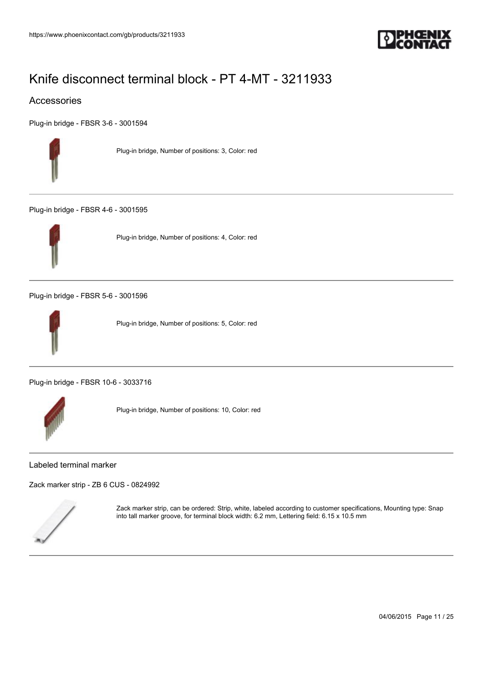

### Accessories

[Plug-in bridge - FBSR 3-6 - 3001594](https://www.phoenixcontact.com/gb/products/3001594)



Plug-in bridge, Number of positions: 3, Color: red

[Plug-in bridge - FBSR 4-6 - 3001595](https://www.phoenixcontact.com/gb/products/3001595)



Plug-in bridge, Number of positions: 4, Color: red

[Plug-in bridge - FBSR 5-6 - 3001596](https://www.phoenixcontact.com/gb/products/3001596)



Plug-in bridge, Number of positions: 5, Color: red

[Plug-in bridge - FBSR 10-6 - 3033716](https://www.phoenixcontact.com/gb/products/3033716)



Plug-in bridge, Number of positions: 10, Color: red

#### Labeled terminal marker

[Zack marker strip - ZB 6 CUS - 0824992](https://www.phoenixcontact.com/gb/products/0824992)



Zack marker strip, can be ordered: Strip, white, labeled according to customer specifications, Mounting type: Snap into tall marker groove, for terminal block width: 6.2 mm, Lettering field: 6.15 x 10.5 mm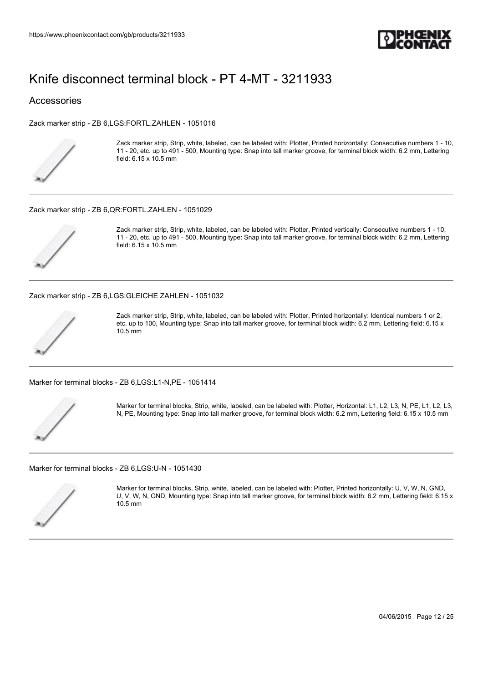

#### Accessories

[Zack marker strip - ZB 6,LGS:FORTL.ZAHLEN - 1051016](https://www.phoenixcontact.com/gb/products/1051016)



Zack marker strip, Strip, white, labeled, can be labeled with: Plotter, Printed horizontally: Consecutive numbers 1 - 10, 11 - 20, etc. up to 491 - 500, Mounting type: Snap into tall marker groove, for terminal block width: 6.2 mm, Lettering field: 6.15 x 10.5 mm

#### [Zack marker strip - ZB 6,QR:FORTL.ZAHLEN - 1051029](https://www.phoenixcontact.com/gb/products/1051029)



Zack marker strip, Strip, white, labeled, can be labeled with: Plotter, Printed vertically: Consecutive numbers 1 - 10, 11 - 20, etc. up to 491 - 500, Mounting type: Snap into tall marker groove, for terminal block width: 6.2 mm, Lettering field: 6.15 x 10.5 mm

[Zack marker strip - ZB 6,LGS:GLEICHE ZAHLEN - 1051032](https://www.phoenixcontact.com/gb/products/1051032)



Zack marker strip, Strip, white, labeled, can be labeled with: Plotter, Printed horizontally: Identical numbers 1 or 2, etc. up to 100, Mounting type: Snap into tall marker groove, for terminal block width: 6.2 mm, Lettering field: 6.15 x 10.5 mm

[Marker for terminal blocks - ZB 6,LGS:L1-N,PE - 1051414](https://www.phoenixcontact.com/gb/products/1051414)



Marker for terminal blocks, Strip, white, labeled, can be labeled with: Plotter, Horizontal: L1, L2, L3, N, PE, L1, L2, L3, N, PE, Mounting type: Snap into tall marker groove, for terminal block width: 6.2 mm, Lettering field: 6.15 x 10.5 mm

[Marker for terminal blocks - ZB 6,LGS:U-N - 1051430](https://www.phoenixcontact.com/gb/products/1051430)



Marker for terminal blocks, Strip, white, labeled, can be labeled with: Plotter, Printed horizontally: U, V, W, N, GND, U, V, W, N, GND, Mounting type: Snap into tall marker groove, for terminal block width: 6.2 mm, Lettering field: 6.15 x 10.5 mm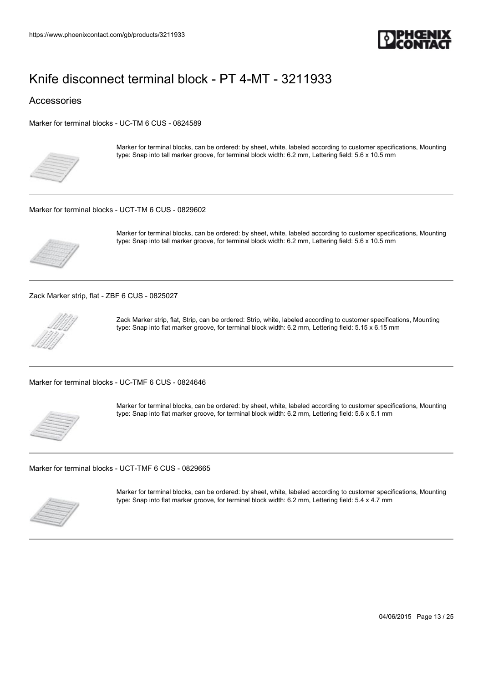

Accessories

[Marker for terminal blocks - UC-TM 6 CUS - 0824589](https://www.phoenixcontact.com/gb/products/0824589)



Marker for terminal blocks, can be ordered: by sheet, white, labeled according to customer specifications, Mounting type: Snap into tall marker groove, for terminal block width: 6.2 mm, Lettering field: 5.6 x 10.5 mm

#### [Marker for terminal blocks - UCT-TM 6 CUS - 0829602](https://www.phoenixcontact.com/gb/products/0829602)



Marker for terminal blocks, can be ordered: by sheet, white, labeled according to customer specifications, Mounting type: Snap into tall marker groove, for terminal block width: 6.2 mm, Lettering field: 5.6 x 10.5 mm

[Zack Marker strip, flat - ZBF 6 CUS - 0825027](https://www.phoenixcontact.com/gb/products/0825027)



Zack Marker strip, flat, Strip, can be ordered: Strip, white, labeled according to customer specifications, Mounting type: Snap into flat marker groove, for terminal block width: 6.2 mm, Lettering field: 5.15 x 6.15 mm

[Marker for terminal blocks - UC-TMF 6 CUS - 0824646](https://www.phoenixcontact.com/gb/products/0824646)



Marker for terminal blocks, can be ordered: by sheet, white, labeled according to customer specifications, Mounting type: Snap into flat marker groove, for terminal block width: 6.2 mm, Lettering field: 5.6 x 5.1 mm

[Marker for terminal blocks - UCT-TMF 6 CUS - 0829665](https://www.phoenixcontact.com/gb/products/0829665)



Marker for terminal blocks, can be ordered: by sheet, white, labeled according to customer specifications, Mounting type: Snap into flat marker groove, for terminal block width: 6.2 mm, Lettering field: 5.4 x 4.7 mm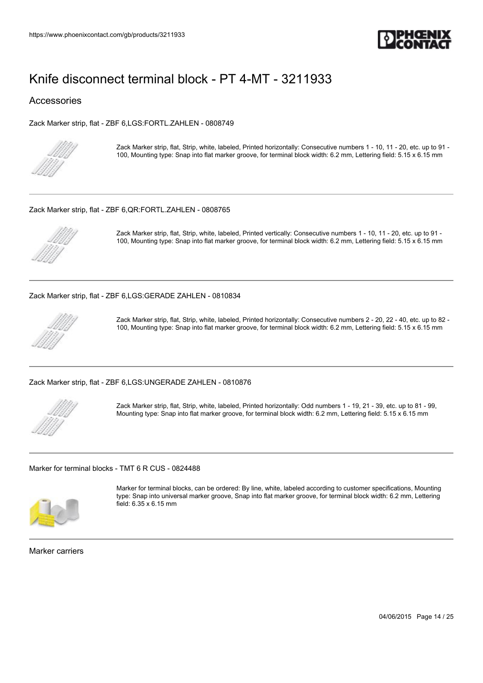

#### Accessories

[Zack Marker strip, flat - ZBF 6,LGS:FORTL.ZAHLEN - 0808749](https://www.phoenixcontact.com/gb/products/0808749)



Zack Marker strip, flat, Strip, white, labeled, Printed horizontally: Consecutive numbers 1 - 10, 11 - 20, etc. up to 91 - 100, Mounting type: Snap into flat marker groove, for terminal block width: 6.2 mm, Lettering field: 5.15 x 6.15 mm

#### [Zack Marker strip, flat - ZBF 6,QR:FORTL.ZAHLEN - 0808765](https://www.phoenixcontact.com/gb/products/0808765)



Zack Marker strip, flat, Strip, white, labeled, Printed vertically: Consecutive numbers 1 - 10, 11 - 20, etc. up to 91 - 100, Mounting type: Snap into flat marker groove, for terminal block width: 6.2 mm, Lettering field: 5.15 x 6.15 mm

[Zack Marker strip, flat - ZBF 6,LGS:GERADE ZAHLEN - 0810834](https://www.phoenixcontact.com/gb/products/0810834)



Zack Marker strip, flat, Strip, white, labeled, Printed horizontally: Consecutive numbers 2 - 20, 22 - 40, etc. up to 82 - 100, Mounting type: Snap into flat marker groove, for terminal block width: 6.2 mm, Lettering field: 5.15 x 6.15 mm

[Zack Marker strip, flat - ZBF 6,LGS:UNGERADE ZAHLEN - 0810876](https://www.phoenixcontact.com/gb/products/0810876)



Zack Marker strip, flat, Strip, white, labeled, Printed horizontally: Odd numbers 1 - 19, 21 - 39, etc. up to 81 - 99, Mounting type: Snap into flat marker groove, for terminal block width: 6.2 mm, Lettering field: 5.15 x 6.15 mm

[Marker for terminal blocks - TMT 6 R CUS - 0824488](https://www.phoenixcontact.com/gb/products/0824488)



Marker for terminal blocks, can be ordered: By line, white, labeled according to customer specifications, Mounting type: Snap into universal marker groove, Snap into flat marker groove, for terminal block width: 6.2 mm, Lettering field: 6.35 x 6.15 mm

Marker carriers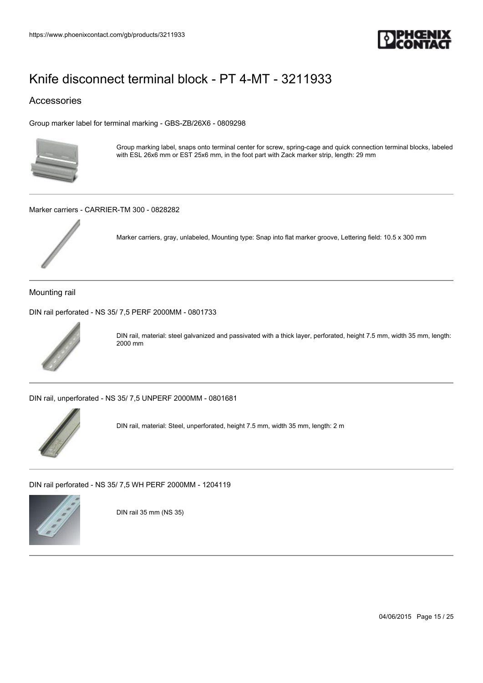

### Accessories

[Group marker label for terminal marking - GBS-ZB/26X6 - 0809298](https://www.phoenixcontact.com/gb/products/0809298)



Group marking label, snaps onto terminal center for screw, spring-cage and quick connection terminal blocks, labeled with ESL 26x6 mm or EST 25x6 mm, in the foot part with Zack marker strip, length: 29 mm

[Marker carriers - CARRIER-TM 300 - 0828282](https://www.phoenixcontact.com/gb/products/0828282)



Marker carriers, gray, unlabeled, Mounting type: Snap into flat marker groove, Lettering field: 10.5 x 300 mm

Mounting rail

[DIN rail perforated - NS 35/ 7,5 PERF 2000MM - 0801733](https://www.phoenixcontact.com/gb/products/0801733)



DIN rail, material: steel galvanized and passivated with a thick layer, perforated, height 7.5 mm, width 35 mm, length: 2000 mm

[DIN rail, unperforated - NS 35/ 7,5 UNPERF 2000MM - 0801681](https://www.phoenixcontact.com/gb/products/0801681)



DIN rail, material: Steel, unperforated, height 7.5 mm, width 35 mm, length: 2 m

[DIN rail perforated - NS 35/ 7,5 WH PERF 2000MM - 1204119](https://www.phoenixcontact.com/gb/products/1204119)



DIN rail 35 mm (NS 35)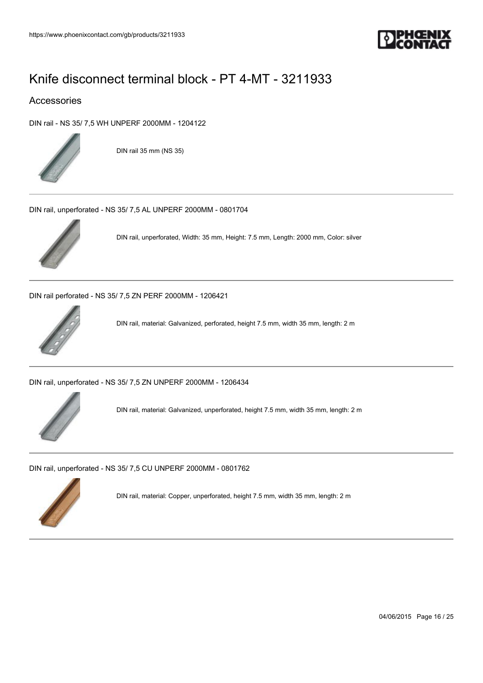

### Accessories

[DIN rail - NS 35/ 7,5 WH UNPERF 2000MM - 1204122](https://www.phoenixcontact.com/gb/products/1204122)



DIN rail 35 mm (NS 35)

[DIN rail, unperforated - NS 35/ 7,5 AL UNPERF 2000MM - 0801704](https://www.phoenixcontact.com/gb/products/0801704)



DIN rail, unperforated, Width: 35 mm, Height: 7.5 mm, Length: 2000 mm, Color: silver

[DIN rail perforated - NS 35/ 7,5 ZN PERF 2000MM - 1206421](https://www.phoenixcontact.com/gb/products/1206421)



DIN rail, material: Galvanized, perforated, height 7.5 mm, width 35 mm, length: 2 m

[DIN rail, unperforated - NS 35/ 7,5 ZN UNPERF 2000MM - 1206434](https://www.phoenixcontact.com/gb/products/1206434)



DIN rail, material: Galvanized, unperforated, height 7.5 mm, width 35 mm, length: 2 m

[DIN rail, unperforated - NS 35/ 7,5 CU UNPERF 2000MM - 0801762](https://www.phoenixcontact.com/gb/products/0801762)



DIN rail, material: Copper, unperforated, height 7.5 mm, width 35 mm, length: 2 m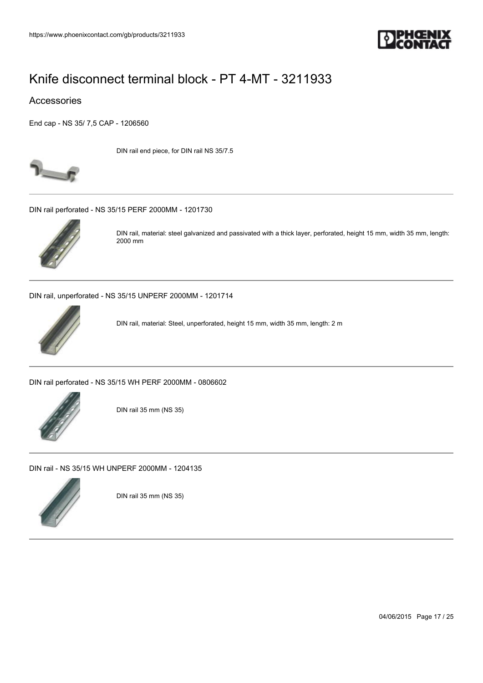

#### Accessories

[End cap - NS 35/ 7,5 CAP - 1206560](https://www.phoenixcontact.com/gb/products/1206560)



DIN rail end piece, for DIN rail NS 35/7.5

[DIN rail perforated - NS 35/15 PERF 2000MM - 1201730](https://www.phoenixcontact.com/gb/products/1201730)



DIN rail, material: steel galvanized and passivated with a thick layer, perforated, height 15 mm, width 35 mm, length: 2000 mm

[DIN rail, unperforated - NS 35/15 UNPERF 2000MM - 1201714](https://www.phoenixcontact.com/gb/products/1201714)



DIN rail, material: Steel, unperforated, height 15 mm, width 35 mm, length: 2 m

[DIN rail perforated - NS 35/15 WH PERF 2000MM - 0806602](https://www.phoenixcontact.com/gb/products/0806602)



DIN rail 35 mm (NS 35)

[DIN rail - NS 35/15 WH UNPERF 2000MM - 1204135](https://www.phoenixcontact.com/gb/products/1204135)



DIN rail 35 mm (NS 35)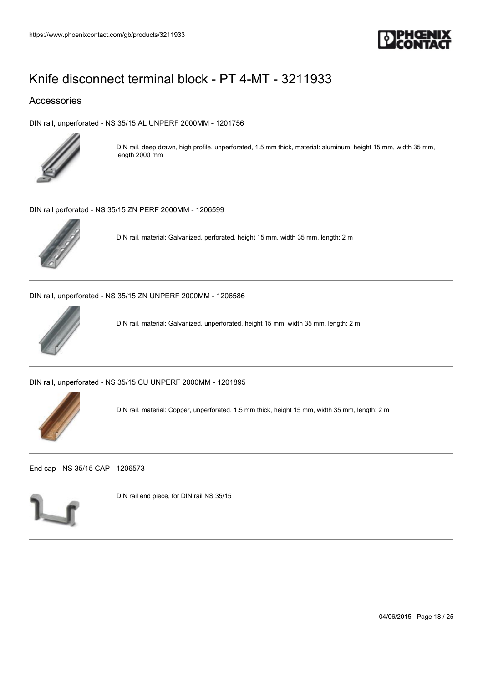

### Accessories

[DIN rail, unperforated - NS 35/15 AL UNPERF 2000MM - 1201756](https://www.phoenixcontact.com/gb/products/1201756)



DIN rail, deep drawn, high profile, unperforated, 1.5 mm thick, material: aluminum, height 15 mm, width 35 mm, length 2000 mm

[DIN rail perforated - NS 35/15 ZN PERF 2000MM - 1206599](https://www.phoenixcontact.com/gb/products/1206599)



DIN rail, material: Galvanized, perforated, height 15 mm, width 35 mm, length: 2 m

[DIN rail, unperforated - NS 35/15 ZN UNPERF 2000MM - 1206586](https://www.phoenixcontact.com/gb/products/1206586)



DIN rail, material: Galvanized, unperforated, height 15 mm, width 35 mm, length: 2 m

[DIN rail, unperforated - NS 35/15 CU UNPERF 2000MM - 1201895](https://www.phoenixcontact.com/gb/products/1201895)



DIN rail, material: Copper, unperforated, 1.5 mm thick, height 15 mm, width 35 mm, length: 2 m

[End cap - NS 35/15 CAP - 1206573](https://www.phoenixcontact.com/gb/products/1206573)



DIN rail end piece, for DIN rail NS 35/15

04/06/2015 Page 18 / 25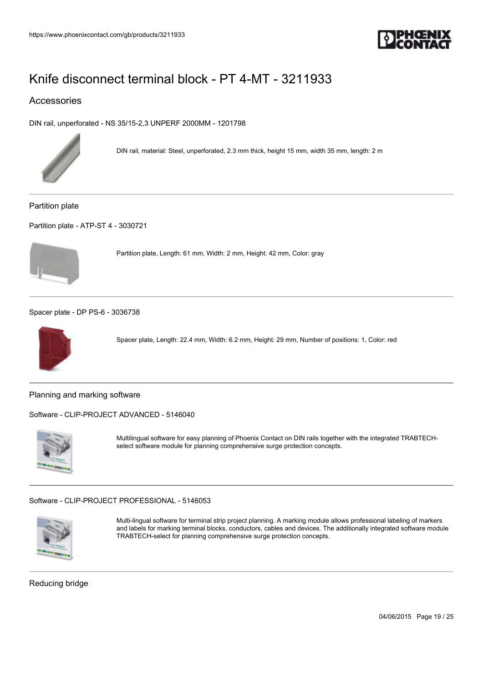

### Accessories

[DIN rail, unperforated - NS 35/15-2,3 UNPERF 2000MM - 1201798](https://www.phoenixcontact.com/gb/products/1201798)



DIN rail, material: Steel, unperforated, 2.3 mm thick, height 15 mm, width 35 mm, length: 2 m

Partition plate

[Partition plate - ATP-ST 4 - 3030721](https://www.phoenixcontact.com/gb/products/3030721)



Partition plate, Length: 61 mm, Width: 2 mm, Height: 42 mm, Color: gray

[Spacer plate - DP PS-6 - 3036738](https://www.phoenixcontact.com/gb/products/3036738)



Spacer plate, Length: 22.4 mm, Width: 6.2 mm, Height: 29 mm, Number of positions: 1, Color: red

Planning and marking software

[Software - CLIP-PROJECT ADVANCED - 5146040](https://www.phoenixcontact.com/gb/products/5146040)



Multilingual software for easy planning of Phoenix Contact on DIN rails together with the integrated TRABTECHselect software module for planning comprehensive surge protection concepts.

[Software - CLIP-PROJECT PROFESSIONAL - 5146053](https://www.phoenixcontact.com/gb/products/5146053)



Multi-lingual software for terminal strip project planning. A marking module allows professional labeling of markers and labels for marking terminal blocks, conductors, cables and devices. The additionally integrated software module TRABTECH-select for planning comprehensive surge protection concepts.

Reducing bridge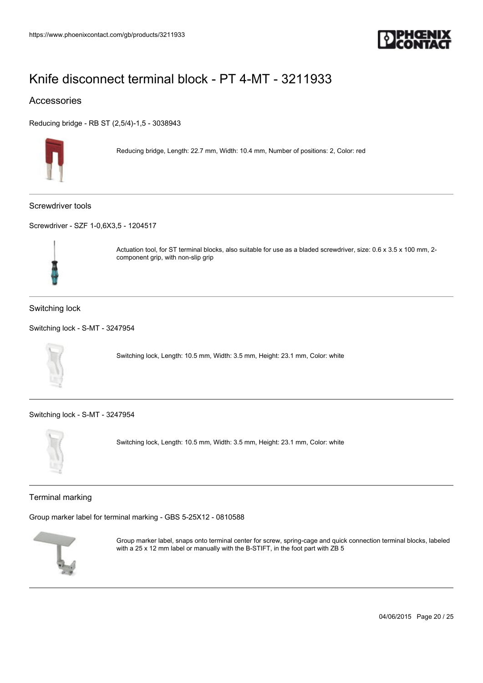

### Accessories

[Reducing bridge - RB ST \(2,5/4\)-1,5 - 3038943](https://www.phoenixcontact.com/gb/products/3038943)



Reducing bridge, Length: 22.7 mm, Width: 10.4 mm, Number of positions: 2, Color: red

Screwdriver tools

[Screwdriver - SZF 1-0,6X3,5 - 1204517](https://www.phoenixcontact.com/gb/products/1204517)



Actuation tool, for ST terminal blocks, also suitable for use as a bladed screwdriver, size: 0.6 x 3.5 x 100 mm, 2 component grip, with non-slip grip

#### Switching lock

```
Switching lock - S-MT - 3247954
```


Switching lock, Length: 10.5 mm, Width: 3.5 mm, Height: 23.1 mm, Color: white

[Switching lock - S-MT - 3247954](https://www.phoenixcontact.com/gb/products/3247954)



Switching lock, Length: 10.5 mm, Width: 3.5 mm, Height: 23.1 mm, Color: white

#### Terminal marking

[Group marker label for terminal marking - GBS 5-25X12 - 0810588](https://www.phoenixcontact.com/gb/products/0810588)



Group marker label, snaps onto terminal center for screw, spring-cage and quick connection terminal blocks, labeled with a 25 x 12 mm label or manually with the B-STIFT, in the foot part with ZB 5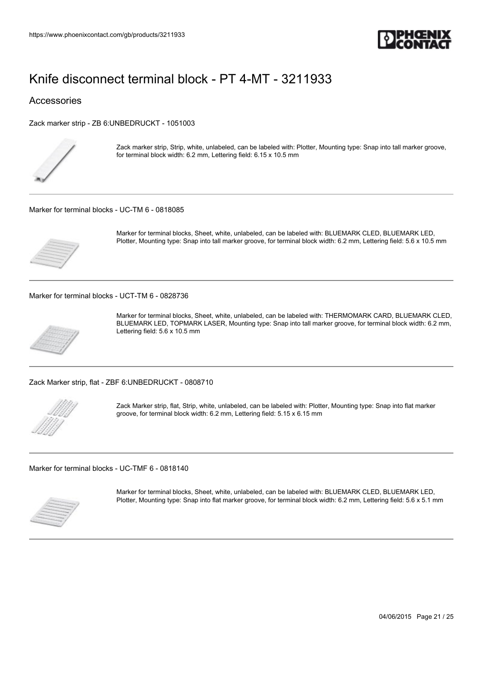

#### Accessories

[Zack marker strip - ZB 6:UNBEDRUCKT - 1051003](https://www.phoenixcontact.com/gb/products/1051003)



Zack marker strip, Strip, white, unlabeled, can be labeled with: Plotter, Mounting type: Snap into tall marker groove, for terminal block width: 6.2 mm, Lettering field: 6.15 x 10.5 mm

[Marker for terminal blocks - UC-TM 6 - 0818085](https://www.phoenixcontact.com/gb/products/0818085)



Marker for terminal blocks, Sheet, white, unlabeled, can be labeled with: BLUEMARK CLED, BLUEMARK LED, Plotter, Mounting type: Snap into tall marker groove, for terminal block width: 6.2 mm, Lettering field: 5.6 x 10.5 mm

[Marker for terminal blocks - UCT-TM 6 - 0828736](https://www.phoenixcontact.com/gb/products/0828736)



Marker for terminal blocks, Sheet, white, unlabeled, can be labeled with: THERMOMARK CARD, BLUEMARK CLED, BLUEMARK LED, TOPMARK LASER, Mounting type: Snap into tall marker groove, for terminal block width: 6.2 mm, Lettering field: 5.6 x 10.5 mm

[Zack Marker strip, flat - ZBF 6:UNBEDRUCKT - 0808710](https://www.phoenixcontact.com/gb/products/0808710)



Zack Marker strip, flat, Strip, white, unlabeled, can be labeled with: Plotter, Mounting type: Snap into flat marker groove, for terminal block width: 6.2 mm, Lettering field: 5.15 x 6.15 mm

[Marker for terminal blocks - UC-TMF 6 - 0818140](https://www.phoenixcontact.com/gb/products/0818140)



Marker for terminal blocks, Sheet, white, unlabeled, can be labeled with: BLUEMARK CLED, BLUEMARK LED, Plotter, Mounting type: Snap into flat marker groove, for terminal block width: 6.2 mm, Lettering field: 5.6 x 5.1 mm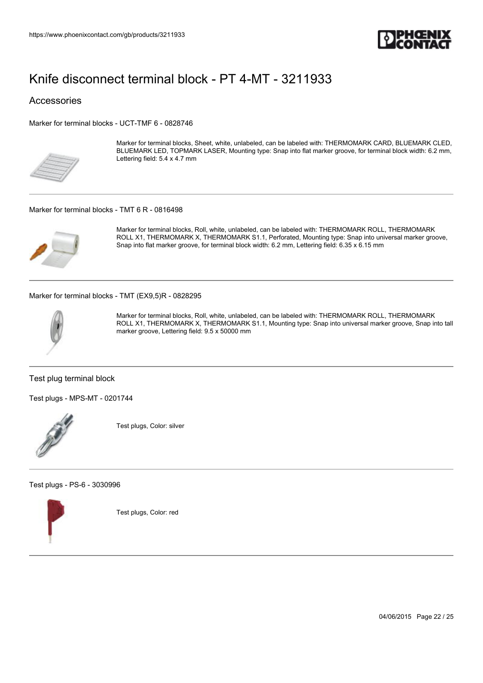

Accessories

[Marker for terminal blocks - UCT-TMF 6 - 0828746](https://www.phoenixcontact.com/gb/products/0828746)



Marker for terminal blocks, Sheet, white, unlabeled, can be labeled with: THERMOMARK CARD, BLUEMARK CLED, BLUEMARK LED, TOPMARK LASER, Mounting type: Snap into flat marker groove, for terminal block width: 6.2 mm, Lettering field: 5.4 x 4.7 mm

[Marker for terminal blocks - TMT 6 R - 0816498](https://www.phoenixcontact.com/gb/products/0816498)



Marker for terminal blocks, Roll, white, unlabeled, can be labeled with: THERMOMARK ROLL, THERMOMARK ROLL X1, THERMOMARK X, THERMOMARK S1.1, Perforated, Mounting type: Snap into universal marker groove, Snap into flat marker groove, for terminal block width: 6.2 mm, Lettering field: 6.35 x 6.15 mm

[Marker for terminal blocks - TMT \(EX9,5\)R - 0828295](https://www.phoenixcontact.com/gb/products/0828295)



Marker for terminal blocks, Roll, white, unlabeled, can be labeled with: THERMOMARK ROLL, THERMOMARK ROLL X1, THERMOMARK X, THERMOMARK S1.1, Mounting type: Snap into universal marker groove, Snap into tall marker groove, Lettering field: 9.5 x 50000 mm

Test plug terminal block

[Test plugs - MPS-MT - 0201744](https://www.phoenixcontact.com/gb/products/0201744)



Test plugs, Color: silver

[Test plugs - PS-6 - 3030996](https://www.phoenixcontact.com/gb/products/3030996)



Test plugs, Color: red

04/06/2015 Page 22 / 25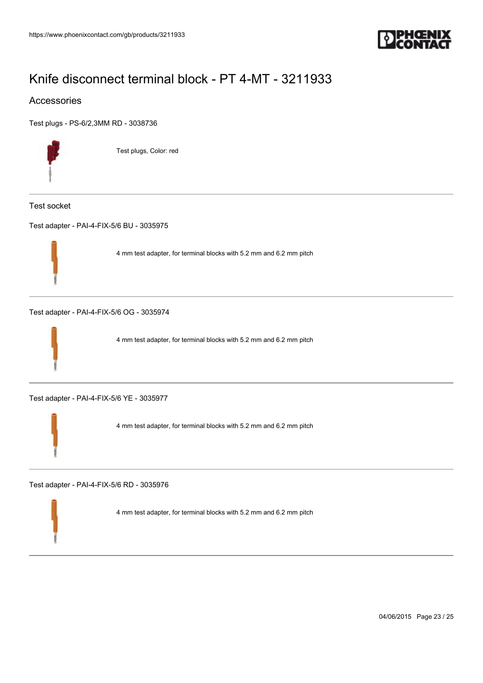

### Accessories

[Test plugs - PS-6/2,3MM RD - 3038736](https://www.phoenixcontact.com/gb/products/3038736)



Test plugs, Color: red

Test socket

[Test adapter - PAI-4-FIX-5/6 BU - 3035975](https://www.phoenixcontact.com/gb/products/3035975)



4 mm test adapter, for terminal blocks with 5.2 mm and 6.2 mm pitch

[Test adapter - PAI-4-FIX-5/6 OG - 3035974](https://www.phoenixcontact.com/gb/products/3035974)



4 mm test adapter, for terminal blocks with 5.2 mm and 6.2 mm pitch

[Test adapter - PAI-4-FIX-5/6 YE - 3035977](https://www.phoenixcontact.com/gb/products/3035977)



4 mm test adapter, for terminal blocks with 5.2 mm and 6.2 mm pitch

[Test adapter - PAI-4-FIX-5/6 RD - 3035976](https://www.phoenixcontact.com/gb/products/3035976)

4 mm test adapter, for terminal blocks with 5.2 mm and 6.2 mm pitch

04/06/2015 Page 23 / 25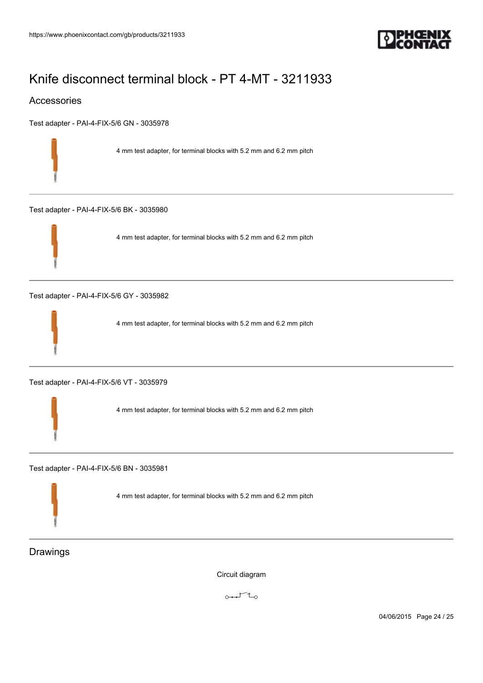

### Accessories

[Test adapter - PAI-4-FIX-5/6 GN - 3035978](https://www.phoenixcontact.com/gb/products/3035978)

4 mm test adapter, for terminal blocks with 5.2 mm and 6.2 mm pitch

[Test adapter - PAI-4-FIX-5/6 BK - 3035980](https://www.phoenixcontact.com/gb/products/3035980)



4 mm test adapter, for terminal blocks with 5.2 mm and 6.2 mm pitch

[Test adapter - PAI-4-FIX-5/6 GY - 3035982](https://www.phoenixcontact.com/gb/products/3035982)



4 mm test adapter, for terminal blocks with 5.2 mm and 6.2 mm pitch

[Test adapter - PAI-4-FIX-5/6 VT - 3035979](https://www.phoenixcontact.com/gb/products/3035979)

4 mm test adapter, for terminal blocks with 5.2 mm and 6.2 mm pitch

[Test adapter - PAI-4-FIX-5/6 BN - 3035981](https://www.phoenixcontact.com/gb/products/3035981)

4 mm test adapter, for terminal blocks with 5.2 mm and 6.2 mm pitch

Drawings

Circuit diagram

 $0 + 1 - 1 = 0$